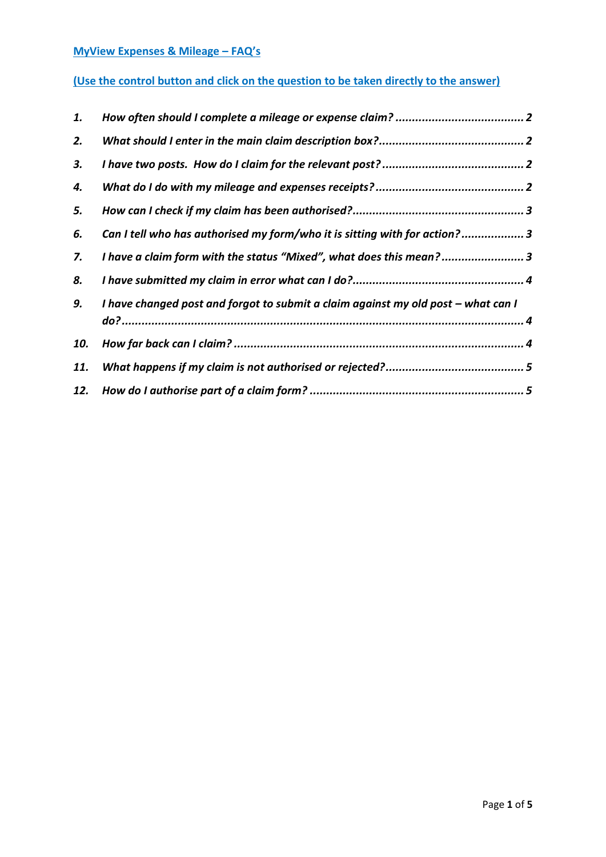### **MyView Expenses & Mileage – FAQ's**

# **(Use the control button and click on the question to be taken directly to the answer)**

| 1.  |                                                                                   |  |
|-----|-----------------------------------------------------------------------------------|--|
| 2.  |                                                                                   |  |
| 3.  |                                                                                   |  |
| 4.  |                                                                                   |  |
| 5.  |                                                                                   |  |
| 6.  | Can I tell who has authorised my form/who it is sitting with for action?3         |  |
| 7.  | I have a claim form with the status "Mixed", what does this mean? 3               |  |
| 8.  |                                                                                   |  |
| 9.  | I have changed post and forgot to submit a claim against my old post - what can I |  |
| 10. |                                                                                   |  |
| 11. |                                                                                   |  |
| 12. |                                                                                   |  |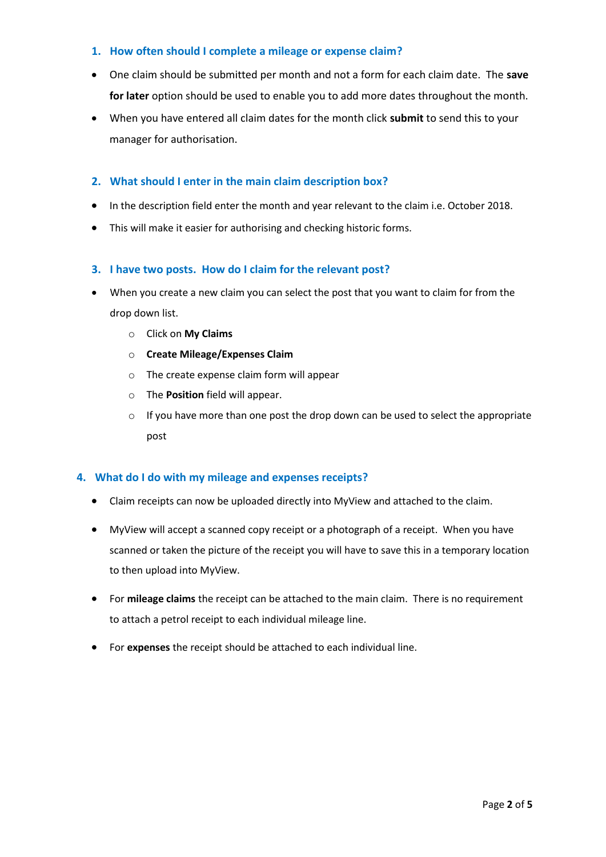#### <span id="page-1-0"></span>**1. How often should I complete a mileage or expense claim?**

- One claim should be submitted per month and not a form for each claim date. The **save for later** option should be used to enable you to add more dates throughout the month.
- When you have entered all claim dates for the month click **submit** to send this to your manager for authorisation.

### <span id="page-1-1"></span>**2. What should I enter in the main claim description box?**

- In the description field enter the month and year relevant to the claim i.e. October 2018.
- This will make it easier for authorising and checking historic forms.

#### <span id="page-1-2"></span>**3. I have two posts. How do I claim for the relevant post?**

- When you create a new claim you can select the post that you want to claim for from the drop down list.
	- o Click on **My Claims**
	- o **Create Mileage/Expenses Claim**
	- o The create expense claim form will appear
	- o The **Position** field will appear.
	- $\circ$  If you have more than one post the drop down can be used to select the appropriate post

#### <span id="page-1-3"></span>**4. What do I do with my mileage and expenses receipts?**

- Claim receipts can now be uploaded directly into MyView and attached to the claim.
- MyView will accept a scanned copy receipt or a photograph of a receipt. When you have scanned or taken the picture of the receipt you will have to save this in a temporary location to then upload into MyView.
- For **mileage claims** the receipt can be attached to the main claim. There is no requirement to attach a petrol receipt to each individual mileage line.
- For **expenses** the receipt should be attached to each individual line.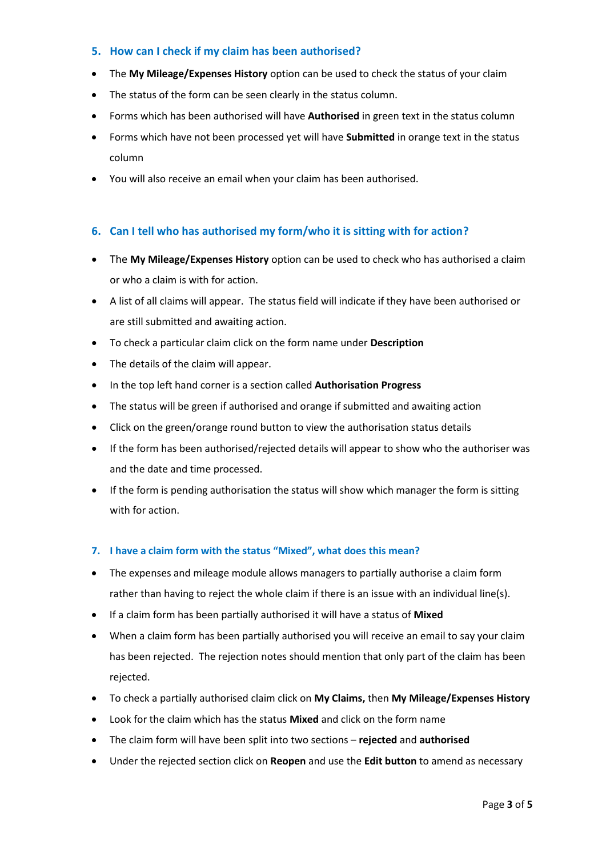#### <span id="page-2-0"></span>**5. How can I check if my claim has been authorised?**

- The **My Mileage/Expenses History** option can be used to check the status of your claim
- The status of the form can be seen clearly in the status column.
- Forms which has been authorised will have **Authorised** in green text in the status column
- Forms which have not been processed yet will have **Submitted** in orange text in the status column
- You will also receive an email when your claim has been authorised.

#### <span id="page-2-1"></span>**6. Can I tell who has authorised my form/who it is sitting with for action?**

- The **My Mileage/Expenses History** option can be used to check who has authorised a claim or who a claim is with for action.
- A list of all claims will appear. The status field will indicate if they have been authorised or are still submitted and awaiting action.
- To check a particular claim click on the form name under **Description**
- The details of the claim will appear.
- In the top left hand corner is a section called **Authorisation Progress**
- The status will be green if authorised and orange if submitted and awaiting action
- Click on the green/orange round button to view the authorisation status details
- If the form has been authorised/rejected details will appear to show who the authoriser was and the date and time processed.
- If the form is pending authorisation the status will show which manager the form is sitting with for action.

#### <span id="page-2-2"></span>**7. I have a claim form with the status "Mixed", what does this mean?**

- The expenses and mileage module allows managers to partially authorise a claim form rather than having to reject the whole claim if there is an issue with an individual line(s).
- If a claim form has been partially authorised it will have a status of **Mixed**
- When a claim form has been partially authorised you will receive an email to say your claim has been rejected. The rejection notes should mention that only part of the claim has been rejected.
- To check a partially authorised claim click on **My Claims,** then **My Mileage/Expenses History**
- Look for the claim which has the status **Mixed** and click on the form name
- The claim form will have been split into two sections **rejected** and **authorised**
- Under the rejected section click on **Reopen** and use the **Edit button** to amend as necessary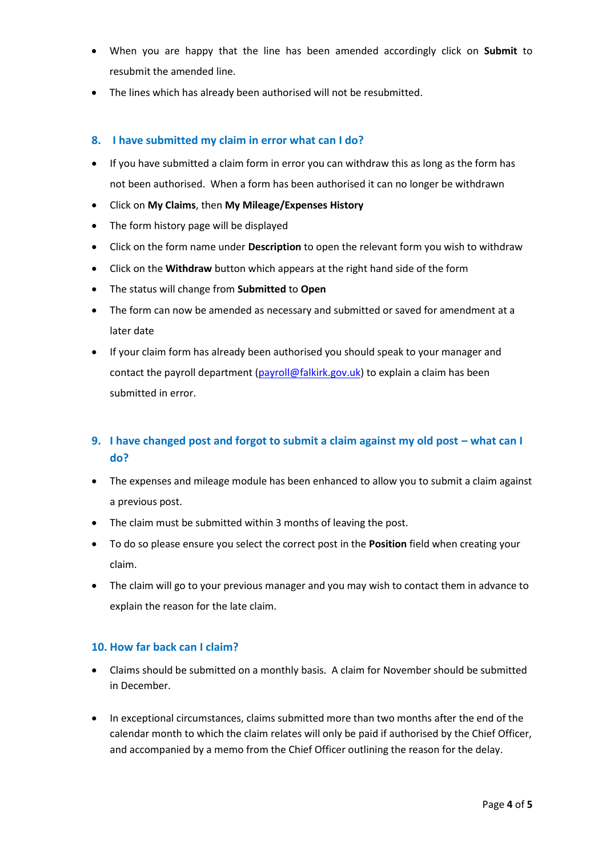- When you are happy that the line has been amended accordingly click on **Submit** to resubmit the amended line.
- The lines which has already been authorised will not be resubmitted.

#### <span id="page-3-0"></span>**8. I have submitted my claim in error what can I do?**

- If you have submitted a claim form in error you can withdraw this as long as the form has not been authorised. When a form has been authorised it can no longer be withdrawn
- Click on **My Claims**, then **My Mileage/Expenses History**
- The form history page will be displayed
- Click on the form name under **Description** to open the relevant form you wish to withdraw
- Click on the **Withdraw** button which appears at the right hand side of the form
- The status will change from **Submitted** to **Open**
- The form can now be amended as necessary and submitted or saved for amendment at a later date
- If your claim form has already been authorised you should speak to your manager and contact the payroll department [\(payroll@falkirk.gov.uk\)](mailto:payroll@falkirk.gov.uk) to explain a claim has been submitted in error.

## <span id="page-3-1"></span>**9. I have changed post and forgot to submit a claim against my old post – what can I do?**

- The expenses and mileage module has been enhanced to allow you to submit a claim against a previous post.
- The claim must be submitted within 3 months of leaving the post.
- To do so please ensure you select the correct post in the **Position** field when creating your claim.
- The claim will go to your previous manager and you may wish to contact them in advance to explain the reason for the late claim.

#### <span id="page-3-2"></span>**10. How far back can I claim?**

- Claims should be submitted on a monthly basis. A claim for November should be submitted in December.
- In exceptional circumstances, claims submitted more than two months after the end of the calendar month to which the claim relates will only be paid if authorised by the Chief Officer, and accompanied by a memo from the Chief Officer outlining the reason for the delay.